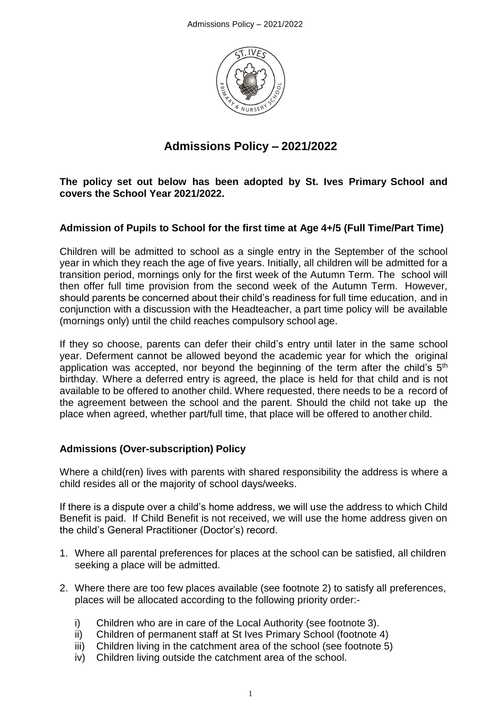

# **Admissions Policy – 2021/2022**

**The policy set out below has been adopted by St. Ives Primary School and covers the School Year 2021/2022.**

## **Admission of Pupils to School for the first time at Age 4+/5 (Full Time/Part Time)**

Children will be admitted to school as a single entry in the September of the school year in which they reach the age of five years. Initially, all children will be admitted for a transition period, mornings only for the first week of the Autumn Term. The school will then offer full time provision from the second week of the Autumn Term. However, should parents be concerned about their child's readiness for full time education, and in conjunction with a discussion with the Headteacher, a part time policy will be available (mornings only) until the child reaches compulsory school age.

If they so choose, parents can defer their child's entry until later in the same school year. Deferment cannot be allowed beyond the academic year for which the original application was accepted, nor beyond the beginning of the term after the child's 5<sup>th</sup> birthday. Where a deferred entry is agreed, the place is held for that child and is not available to be offered to another child. Where requested, there needs to be a record of the agreement between the school and the parent. Should the child not take up the place when agreed, whether part/full time, that place will be offered to another child.

#### **Admissions (Over-subscription) Policy**

Where a child(ren) lives with parents with shared responsibility the address is where a child resides all or the majority of school days/weeks.

If there is a dispute over a child's home address, we will use the address to which Child Benefit is paid. If Child Benefit is not received, we will use the home address given on the child's General Practitioner (Doctor's) record.

- 1. Where all parental preferences for places at the school can be satisfied, all children seeking a place will be admitted.
- 2. Where there are too few places available (see footnote 2) to satisfy all preferences, places will be allocated according to the following priority order:
	- i) Children who are in care of the Local Authority (see footnote 3).
	- ii) Children of permanent staff at St Ives Primary School (footnote 4)
	- iii) Children living in the catchment area of the school (see footnote 5)
	- iv) Children living outside the catchment area of the school.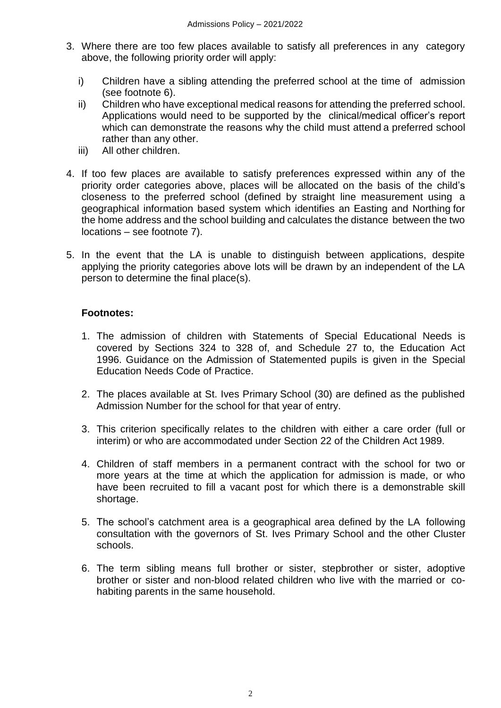- 3. Where there are too few places available to satisfy all preferences in any category above, the following priority order will apply:
	- i) Children have a sibling attending the preferred school at the time of admission (see footnote 6).
	- ii) Children who have exceptional medical reasons for attending the preferred school. Applications would need to be supported by the clinical/medical officer's report which can demonstrate the reasons why the child must attend a preferred school rather than any other.
	- iii) All other children.
- 4. If too few places are available to satisfy preferences expressed within any of the priority order categories above, places will be allocated on the basis of the child's closeness to the preferred school (defined by straight line measurement using a geographical information based system which identifies an Easting and Northing for the home address and the school building and calculates the distance between the two locations – see footnote 7).
- 5. In the event that the LA is unable to distinguish between applications, despite applying the priority categories above lots will be drawn by an independent of the LA person to determine the final place(s).

#### **Footnotes:**

- 1. The admission of children with Statements of Special Educational Needs is covered by Sections 324 to 328 of, and Schedule 27 to, the Education Act 1996. Guidance on the Admission of Statemented pupils is given in the Special Education Needs Code of Practice.
- 2. The places available at St. Ives Primary School (30) are defined as the published Admission Number for the school for that year of entry.
- 3. This criterion specifically relates to the children with either a care order (full or interim) or who are accommodated under Section 22 of the Children Act 1989.
- 4. Children of staff members in a permanent contract with the school for two or more years at the time at which the application for admission is made, or who have been recruited to fill a vacant post for which there is a demonstrable skill shortage.
- 5. The school's catchment area is a geographical area defined by the LA following consultation with the governors of St. Ives Primary School and the other Cluster schools.
- 6. The term sibling means full brother or sister, stepbrother or sister, adoptive brother or sister and non-blood related children who live with the married or cohabiting parents in the same household.